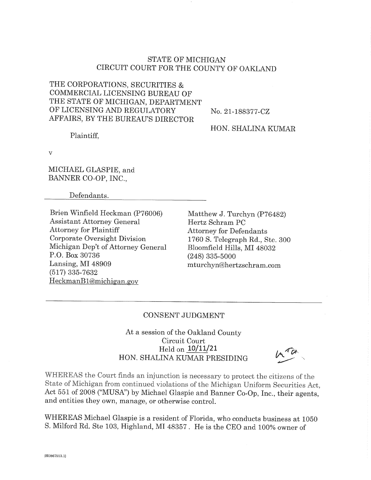# STATE OF MICHIGAN CIRCUIT COURT FOR THE COUNTY OF OAKLAND

THE CORPORATIONS, SECURITIES & COMMERCIAL LICENSING BUREAU OF THE STATE OF MICHIGAN, DEPARTMENT OF LICENSING AND REGULATORY AFFAIRS, BY THE BUREAU'S DIRECTOR

No. 21-188377-CZ

HON. SHALINA KUMAR

Plaintiff.

 $\overline{\mathbf{v}}$ 

MICHAEL GLASPIE, and BANNER CO-OP, INC.,

Defendants.

Brien Winfield Heckman (P76006) **Assistant Attorney General Attorney for Plaintiff** Corporate Oversight Division Michigan Dep't of Attorney General P.O. Box 30736 Lansing, MI 48909  $(517)$  335-7632 HeckmanB1@michigan.gov

Matthew J. Turchyn (P76482) Hertz Schram PC **Attorney for Defendants** 1760 S. Telegraph Rd., Ste. 300 Bloomfield Hills, MI 48032  $(248)$  335-5000 mturchyn@hertzschram.com

## CONSENT JUDGMENT

At a session of the Oakland County Circuit Court Held on  $10/11/21$ HON. SHALINA KUMAR PRESIDING

WHEREAS the Court finds an injunction is necessary to protect the citizens of the State of Michigan from continued violations of the Michigan Uniform Securities Act, Act 551 of 2008 ("MUSA") by Michael Glaspie and Banner Co-Op, Inc., their agents, and entities they own, manage, or otherwise control.

WHEREAS Michael Glaspie is a resident of Florida, who conducts business at 1050 S. Milford Rd. Ste 103, Highland, MI 48357. He is the CEO and 100% owner of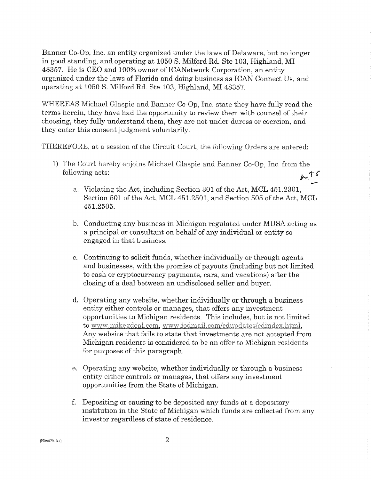Banner Co-Op, Inc. an entity organized under the laws of Delaware, but no longer in good standing, and operating at 1050 S. Milford Rd. Ste 103, Highland, MI 48357. He is CEO and 100% owner of ICANetwork Corporation, an entity organized under the laws of Florida and doing business as ICAN Connect Us, and operating at 1050 S. Milford Rd. Ste 103, Highland, MI 48357.

WHEREAS Michael Glaspie and Banner Co-Op, Inc. state they have fully read the terms herein, they have had the opportunity to review them with counsel of their choosing, they fully understand them, they are not under duress or coercion, and they enter this consent judgment voluntarily.

THEREFORE, at a session of the Circuit Court, the following Orders are entered:

- 1) The Court hereby enjoins Michael Glaspie and Banner Co-Op, Inc. from the following acts:  $M_{\star}$ 
	- a. Violating the Act, including Section 301 of the Act, MCL 451.2301, Section 501 of the Act, MCL 451.2501, and Section 505 of the Act, MCL 451.2505.
	- b. Conducting any business in Michigan regulated under MUSA acting as a principal or consultant on behalf of any individual or entity so engaged in that business.
	- c. Continuing to solicit funds, whether individually or through agents and businesses, with the promise of payouts (including but not limited to cash or cryptocurrency payments, cars, and vacations) after the closing of a deal between an undisclosed seller and buyer.
	- d. Operating any website, whether individually or through a business entity either controls or manages, that offers any investment opportunities to Michigan residents. This includes, but is not limited to www.mikegdeal.com, www.iodmail.com/cdupdates/cdindex.html, Any website that fails to state that investments are not accepted from Michigan residents is considered to be an offer to Michigan residents for purposes of this paragraph.
	- e. Operating any website, whether individually or through a business entity either controls or manages, that offers any investment opportunities from the State of Michigan.
	- f. Depositing or causing to be deposited any funds at a depository institution in the State of Michigan which funds are collected from any investor regardless of state of residence.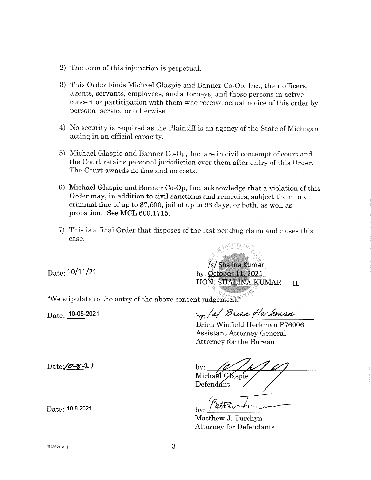- 2) The term of this injunction is perpetual.
- 3) This Order binds Michael Glaspie and Banner Co-Op, Inc., their officers, agents, servants, employees, and attorneys, and those persons in active concert or participation with them who receive actual notice of this order by personal service or otherwise.
- 4) No security is required as the Plaintiff is an agency of the State of Michigan acting in an official capacity.
- 5) Michael Glaspie and Banner Co-Op, Inc. are in civil contempt of court and the Court retains personal jurisdiction over them after entry of this Order. The Court awards no fine and no costs.
- 6) Michael Glaspie and Banner Co-Op, Inc. acknowledge that a violation of this Order may, in addition to civil sanctions and remedies, subject them to a criminal fine of up to \$7,500, jail of up to 93 days, or both, as well as probation. See MCL 600.1715.
- 7) This is a final Order that disposes of the last pending claim and closes this case.

 $Date: 10/11/21$ 

/s/ Shalina Kumar by: October 11, 2021 HON, SHALINA KUMAR  $LL$ 

"We stipulate to the entry of the above consent judgement."

 $Date: 10-08-2021$ 

by: /2/ Brien Heckman

Brien Winfield Heckman P76006 **Assistant Attorney General** Attorney for the Bureau

by: Michael Glaspie Defendant

 $\mathbf{hv}$ 

Matthew J. Turchyn **Attorney for Defendants** 

Date: 10-8-2021

 $Date / 2 - 8 - 21$ 

 ${H0867913.1}$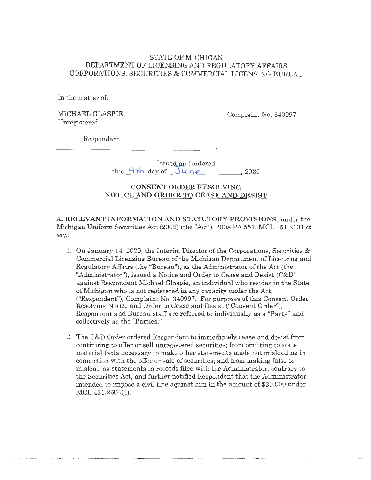## STATE OF MICHIGAN DEPARTMENT OF LICENSING AND REGULATORY AFFAIRS CORPORATIONS, SECURITIES & COMMERCIAL LICENSING BUREAU

In the matter of:

MICHAEL GLASPIE, Unregistered,

Complaint No. 340997

Respondent.

 $\overline{\phantom{a}}$ 

Issued and entered this  $4+h$  day of  $June$ , 2020

## **CONSENT ORDER RESOLVING NOTICE AND ORDER TO CEASE AND DESIST**

A. RELEVANT INFORMATION AND STATUTORY PROVISIONS, under the Michigan Uniform Securities Act (2002) (the "Act"), 2008 PA 551, MCL 451.2101 *et seq.:* 

- 1. On January 14, 2020, the Interim Director of the Corporations, Securities & Commercial Licensing Bureau of the Michigan Department of Licensing and Regulatory Affairs (the "Bureau"), as the Administrator of the Act (the "Administrator"), issued a Notice and Order to Cease and Desist (C&D) against Respondent Michael Glaspie, an individual who resides in the State of Michigan who is not registered in any capacity under the Act, ("Respondent"), Complaint No. 340997. For purposes of this Consent Order Resolving Notice and Order to Cease and Desist ("Consent Order"), Respondent and Bureau staff are referred to individually as a "Party'' and collectively as the "Parties."
- 2. The C&D Order ordered Respondent to immediately cease and desist from continuing to offer or sell unregistered securities; from omitting to state material facts necessary to make other statements made. not misleading in connection with the offer or sale of securities; and from making false or misleading statements in records filed with the Administrator; contrary to the Securities Act, and further notified Respondent that the Administrator intended to impose a civil fine against him in the amount of \$30,000 under MCL 451.2604(4).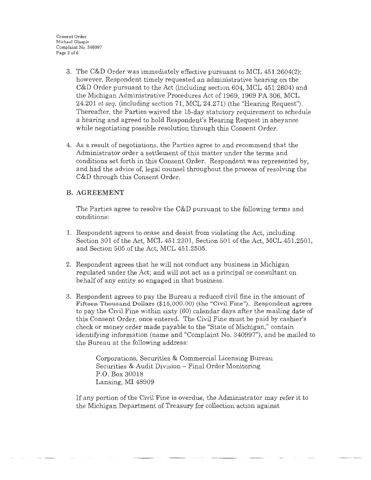- 3. The G&D Order was immediately effective pursuant to MCL 451.2604(2); however, Respondent timely requested an administrative hearing on the C&D Order pursuant to the Act (including section 604, MCL 451.2604) and the Michigan Administrative Procedures Act of 1969, 1969 PA 306, MCL 24.201 *et seq.* (including section 71, MCL 24.271) (the ''Hearing Request"). Thereafter, the Parties waived the 15-day statutory requirement to schedule a hearing and agreed to hold Respondent's Hearing Request in abeyance while negotiating possible resolution through this Consent Order.
- 4. As a result of negotiations, the Parties agree to and recommend that the Administrator order a settlement of this matter under the terms and conditions set forth in this Consent Order. Respondent was represented by, and had the advice of, legal counsel throughout the process of resolving the C&D through this Consent Order.

## **B. AGREEMENT**

The Parties agree to resolve the **G&D** pursuant to the following terms and conditions:

- 1. Respondent agrees to cease and desist from violating the Act, including Section 301 of the Act, MCL 451.2301, Section 501 of the Act, MCL 451.2501, and Section 505 of the Act, MCL 451.2505.
- 2. Respondent agrees that he will not conduct any business in Michigan regulated under the Act; and will not act as a principal or consultant on behalf of any entity so engaged in that business.
- 3. Respondent agrees to pay the Bureau a reduced civil fine in the amount of Fifteen Thousand Dollars (\$15,000.00) (the "Civil Fine"). Respondent agrees to pay the Civil Fine within sixty (60) calendar days after the mailing date of this Consent Order, once entered. The Civil Fine must be paid by cashier's check or money order made payable to the "State of Michigan," contain identifying information (name and "Complaint No. 340997"), and be mailed to the Bureau at the following address:

Corporations, Securities & Commercial Licensing Bureau Securities & Audit Division - Final Order Monitoring P.O. Box 30018 Lansing, MI 48909

If any portion of the Civil Fine is overdue, the Administrator may refer it to the Michigan Department of Treasury for collection action against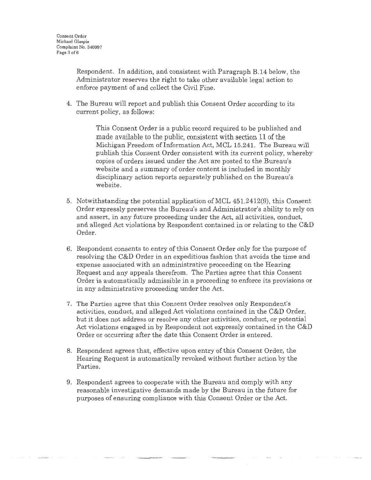Respondent. In addition, and consistent with Paragraph B.14 below, the Administrator reserves the right to take other available legal action to enforce payment of and collect the Civil Fine.

4. The Bureau will report and publish this Consent Order according to its current policy, as follows:

> This Consent Order is a public record required to be published and made available to the public, consistent with section 11 of the Michigan Freedom of Information Act, MCL 15.241. The Bureau will publish this Consent Order consistent with its current policy, whereby copies of orders issued under the Act are posted to the Bureau's website and a summary of order content is included in monthly disciplinary action reports separately published on the Bureau's website.

- 5. Notwithstanding the potential application of MCL 451 .2412(9), this Consent Order expressly preserves the Bureau's and Administrator's ability to rely on and assert, in any future proceeding under the Act, all activities, conduct, and alleged Act violations by Respondent contained in or relating to the C&D Order.
- 6. Respondent consents to entry of this Consent Order only for the purpose of resolving the C&D Order in an expeditious fashion that avoids the time and expense associated with an administrative proceeding on the Hearing Request and any appeals therefrom. The Parties agree that this Consent Order is automatically admissible in a proceeding to enforce its provisions or in any administrative proceeding under the Act.
- 7. The Parties agree that this Consent Order resolves only Respondent's activities, conduct, and alleged Act violations contained in the C&D Order; but it does not address or resolve any other activities, conduct, or potential Act violations engaged in by Respondent not expressly contained in the C&D Order or occurring after the date this Consent Order is entered.
- 8. Respondent agrees that, effective upon entry of this Consent Order, the Hearing Request is automatically revoked without further action by the Parties.
- 9. Respondent agrees to cooperate with the Bureau and comply with any reasonable investigative demands made by the Bureau in the future for purposes of ensuring compliance with this Consent Order or the Act.

 $\begin{minipage}{0.9\textwidth} \centering \begin{minipage}{0.9\textwidth} \centering \end{minipage} \begin{minipage}{0.9\textwidth} \centering \begin{minipage}{0.9\textwidth} \centering \end{minipage} \begin{minipage}{0.9\textwidth} \centering \end{minipage} \begin{minipage}{0.9\textwidth} \centering \end{minipage} \begin{minipage}{0.9\textwidth} \centering \end{minipage} \begin{minipage}{0.9\textwidth} \centering \end{minipage} \begin{minipage}{0.9\textwidth} \centering \end{minipage} \begin{minipage}{0.9\textwidth} \centering \$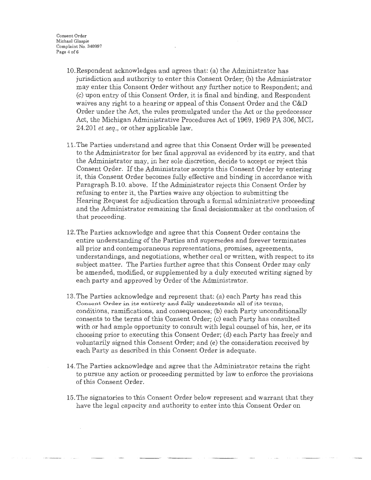Consent Order Michael Glaspie Complaint No. 340997 Page 4 of 6

- 10.Respondent acknowledges and agrees that: (a) the Administrator has jurisdiction and authority to enter this Consent Order; (b) the Administrator may enter this Consent Order without any further notice to Respondent; and (c) upon entry of this Consent Order, it is final and binding, and Respondent waives any right to a hearing or appeal of this Consent Order and the C&D Order under the Act, the rules promulgated under the Act or the predecessor Act, the Michigan Administrative Procedures Act of 1969, 1969 PA 306, MCL 24.201 *et seq.*, or other applicable law.
- 11. The Parties understand and agree that this Consent Order will be presented to the Administrator for her final approval as evidenced by its entry, and that the Administrator may, in her sole discretion, decide to accept or reject this Consent Order. If the Administrator accepts this Consent Order by entering it, this Consent Order becomes fully effective and binding in accordance with Paragraph B.10. above. If the Administrator rejects this Consent Order by refusing to enter it, the Parties waive any objection to submitting the Hearing Request for adjudication through a formal administrative proceeding and the Administrator remaining the final decisionmaker at the conclusion of that proceeding.
- 12. The Parties acknowledge and agree that this Consent Order contains the entire understanding of the Parties and supersedes and forever terminates all prior and contemporaneous representations, promises, agreements, understandings, and negotiations, whether oral or written, with respect to its subject matter. The Parties further agree that this Consent Order may only be amended, modified, or supplemented by a duly executed writing signed by each party and approved by Order of the Administrator.
- 13. The Parties acknowledge and represent that: (a) each Party has read this Consent Order in its entirety and fully understands all of its terms, conditions, ramifications, and consequences; (b) each Party unconditionally consents to the terms of this Consent Order.; (c) each Party has consulted with or had ample opportunity to consult with legal counsel of his, her, or its choosing prior to executing this Consent Order; (d) each Party has freely and voluntarily signed this Consent Order; and (e) the consideration received by each Party as described in this Consent Order is adequate.
- 14. The Parties acknowledge and agree that the Administrator retains the right to pursue any action or proceeding permitted by law to enforce the provisions of this Consent Order.
- 15. The signatories to this Consent Order below represent and warrant that they have the legal capacity and authority to enter into this Consent Order on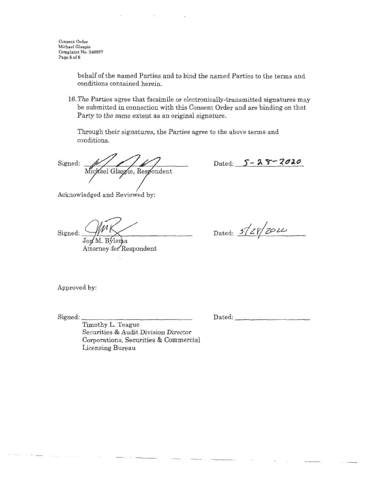behalf of the named Parties and to bind the named Parties to the terms and conditions contained herein.

16. The Parties agree that facsimile or electronically-transmitted signatures may be submitted in connection with this Consent Order and are binding on that Party to the same extent as an original signature.

Through their signatures, the Parties agree to the above terms and conditions.

Signed: Michael Glaspie, Respondent

Acknowledged and Reviewed by:

Signed:  $J$ on M. Bylsma Attorney-for Respondent

 $_{\text{Dated:}}$  *5/28/00*  $\mu$  $^{\prime}$ 

Dated: 5 - 28 - 2020

Approved by:

Signed:

Dated: \_\_\_\_\_\_\_\_\_ \_

Timothy L. Teague Securities & Audit Division Director Corporations, Securities & Commercial Licensing Bureau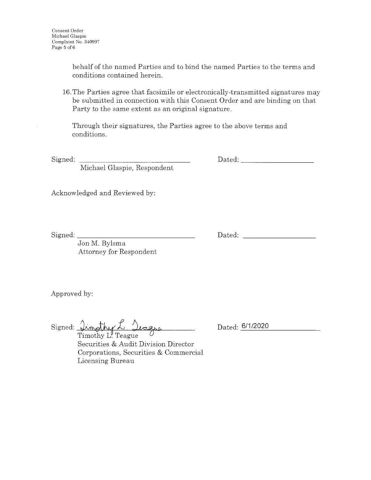behalf of the named Parties and to bind the named Parties to the terms and conditions contained herein.

16. The Parties agree that facsimile or electronically-transmitted signatures may be submitted in connection with this Consent Order and are binding on that Party to the same extent as an original signature.

Through their signatures, the Parties agree to the above terms and conditions.

Signed:

Dated: when the contract of the contract of the contract of the contract of the contract of the contract of the contract of the contract of the contract of the contract of the contract of the contract of the contract of th

Michael Glaspie, Respondent

Acknowledged and Reviewed by:

Signed: \_\_\_\_\_\_\_\_\_\_\_\_\_\_ \_

Dated:

Jon M. Bylsma Attorney for Respondent

Approved by:

Signed: *Irmothy L. Jeague* 

Dated: **6/1/2020** 

Timothy L. Teague Securities & Audit Division Director Corporations, Securities & Commercial Licensing Bureau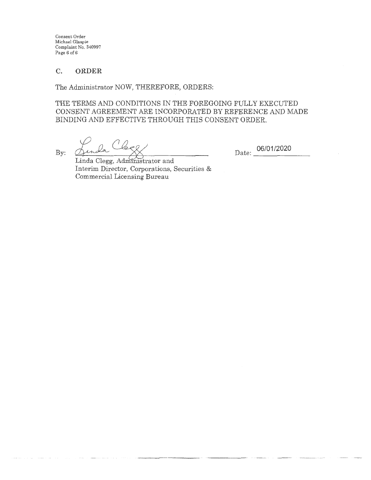Consent Order Michael Glaspie Complaint No. 340997 Page 6 of 6

## **C. ORDER**

The Administrator NOW, THEREFORE, ORDERS:

THE TERMS AND CONDITIONS IN THE FOREGOING FULLY EXECUTED CONSENT AGREEMENT ARE INCORPORATED BY REFERENCE AND MADE BINDING AND EFFECTIVE THROUGH THIS CONSENT ORDER.

 $\mathcal{Q}_{\mathbf{p} \mathbf{p} \mathbf{0}}$ By:  $Q_{\text{max}} = \sqrt{2}$ 

Date: **06/01/2020** 

Linda Clegg, Administrator and Interim Director, Corporations, Securities & Commercial Licensing Bureau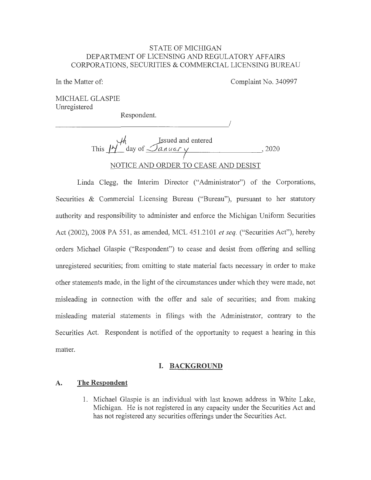## STATE OF MICHIGAN DEPARTMENT OF LICENSING AND REGULATORY AFFAIRS CORPORATIONS, SECURITIES & COMMERCIAL LICENSING BUREAU

In the Matter of:

Complaint No. 340997

I

MICHAEL GLASPIE Unregistered

Respondent.

This  $M_1$  ssued and entered **This** *K* day of *January y* 2020 NOTICE AND ORDER TO CEASE AND DESIST

Linda Clegg, the Interim Director ("Administrator") of the Corporations, Securities & Commercial Licensing Bureau ("Bureau"), pursuant to her statutory authority and responsibility to administer and enforce the Michigan Uniform Securities Act (2002), 2008 PA 551, as amended, MCL 451.2101 *et seq.* ("Securities Act"), hereby orders Michael Glaspie ("Respondent") to cease and desist from offering and selling unregistered securities; from omitting to state material facts necessary in order to make other statements made, in the light of the circumstances under which they were made, not misleading in connection with the offer and sale of securities; and from making misleading material statements in filings with the Administrator, contrary to the Securities Act. Respondent is notified of the opportunity to request a hearing in this matter.

### **I. BACKGROUND**

### **A. The Respondent**

1. Michael Glaspie is an individual with last known address in White Lake, Michigan. He is not registered in any capacity under the Securities Act and has not registered any securities offerings under the Securities Act.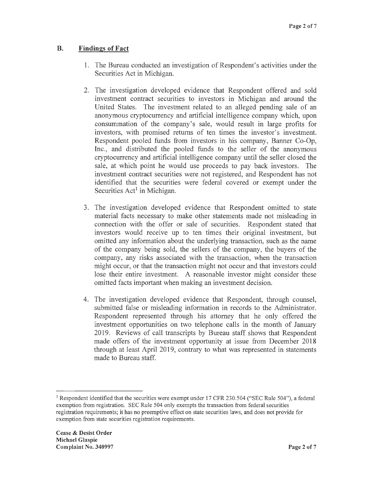#### **B. Findings of Fact**

- 1. The Bureau conducted an investigation of Respondent's activities under the Securities Act in Michigan.
- 2. The investigation developed evidence that Respondent offered and sold investment contract securities to investors in Michigan and around the United States. The investment related to an alleged pending sale of an anonymous cryptocurrency and artificial intelligence company which, upon consummation of the company's sale, would result in large profits for investors, with promised returns of ten times the investor's investment. Respondent pooled funds from investors in his company, Banner Co-Op, Inc., and distributed the pooled funds to the seller of the anonymous cryptocurrency and artificial intelligence company until the seller closed the sale, at which point he would use proceeds to pay back investors. The investment contract securities were not registered, and Respondent has not identified that the securities were federal covered or exempt under the Securities  $Act<sup>1</sup>$  in Michigan.
- 3. The investigation developed evidence that Respondent omitted to state material facts necessary to make other statements made not misleading in connection with the offer or sale of securities. Respondent stated that investors would receive up to ten times their original investment, but omitted any information about the underlying transaction, such as the name of the company being sold, the sellers of the company, the buyers of the company, any risks associated with the transaction, when the transaction might occur, or that the transaction might not occur and that investors could lose their entire investment. A reasonable investor might consider these omitted facts important when making an investment decision.
- 4. The investigation developed evidence that Respondent, through counsel, submitted false or misleading information in records to the Administrator. Respondent represented through his attorney that he only offered the investment opportunities on two telephone calls in the month of January 2019. Reviews of call transcripts by Bureau staff shows that Respondent made offers of the investment opportunity at issue from December 2018 through at least April 2019, contrary to what was represented in statements made to Bureau staff.

<sup>1</sup> Respondent identified that the securities were exempt under 17 CFR 230.504 ("SEC Rule 504"), a federal exemption from registration. SEC Rule 504 only exempts the transaction from federal securities registration requirements; it has no preemptive effect on state securities laws, and does not provide for exemption from state securities registration requirements.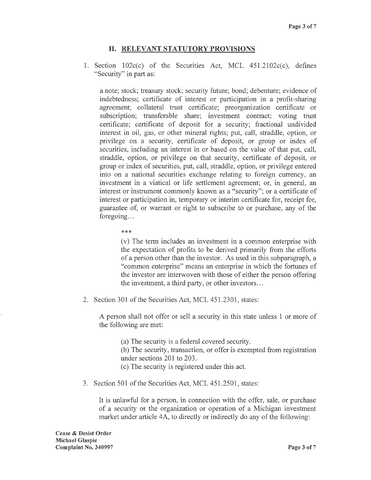## II. **RELEVANT STATUTORY PROVISIONS**

1. Section  $102c(c)$  of the Securities Act, MCL  $451.2102c(c)$ , defines "Security" in part as:

a note; stock; treasury stock; security future; bond; debenture; evidence of indebtedness; certificate of interest or participation in a profit-sharing agreement; collateral trust certificate; preorganization certificate or subscription; transferable share; investment contract; voting trust certificate; certificate of deposit for a security; fractional undivided interest in oil, gas, or other mineral rights; put, call, straddle, option, or privilege on a security, certificate of deposit, or group or index of securities, including an interest in or based on the value of that put, call, straddle, option, or privilege on that security, certificate of deposit, or group or index of securities, put, call, straddle, option, or privilege entered into on a national securities exchange relating to foreign currency, an investment in a viatical or life settlement agreement; or, in general, an interest or instrument commonly known as a "security"; or a certificate of interest or participation in, temporary or interim certificate for, receipt for, guarantee of, or warrant or right to subscribe to or purchase, any of the foregoing...

\*\*\*

(v) The term includes an investment in a common enterprise with the expectation of profits to be derived primarily from the efforts of a person other than the investor. As used in this subparagraph, a "common enterprise" means an enterprise in which the fortunes of the investor are interwoven with those of either the person offering the investment, a third party, or other investors .. .

2. Section 301 of the Securities Act, MCL 451.2301, states:

A person shall not offer or sell a security in this state unless 1 or more of the following are met:

- (a) The security is a federal covered security.
- (b) The security, transaction, or offer is exempted from registration under sections 201 to 203.
- ( c) The security is registered under this act.
- 3. Section 501 of the Securities Act, MCL 451.2501, states:

It is unlawful for a person, in connection with the offer, sale, or purchase of a security or the organization or operation of a Michigan investment market under article 4A, to directly or indirectly do any of the following: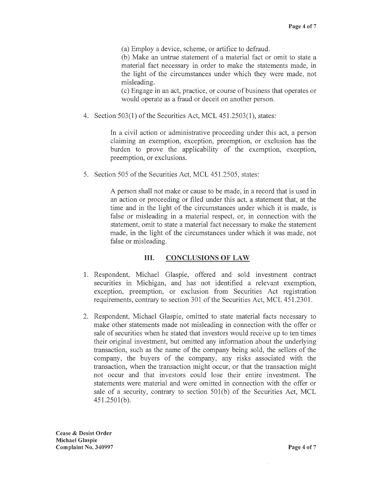(a) Employ a device, scheme, or artifice to defraud.

(b) Make an untrue statement of a material fact or omit to state a material fact necessary in order to make the statements made, in the light of the circumstances under which they were made, not misleading.

( c) Engage in an act, practice, or course of business that operates or would operate as a fraud or deceit on another person.

4. Section 503(1) of the Securities Act, MCL 451.2503(1), states:

In a civil action or administrative proceeding under this act, a person claiming an exemption, exception, preemption, or exclusion has the burden to prove the applicability of the exemption, exception, preemption, or exclusions.

5. Section 505 of the Securities Act, MCL 451.2505, states:

A person shall not make or cause to be made, in a record that is used in an action or proceeding or filed under this act, a statement that, at the time and in the light of the circumstances under which it is made, is false or misleading in a material respect, or, in connection with the statement, omit to state a material fact necessary to make the statement made, in the light of the circumstances under which it was made, not false or misleading.

## III. **CONCLUSIONS OF LAW**

- 1. Respondent, Michael Glaspie, offered and sold investment contract securities in Michigan, and has not identified a relevant exemption, exception, preemption, or exclusion from Securities Act registration requirements, contrary to section 301 of the Securities Act, MCL 451.2301.
- 2. Respondent, Michael Glaspie, omitted to state material facts necessary to make other statements made not misleading in connection with the offer or sale of securities when he stated that investors would receive up to ten times their original investment, but omitted any information about the underlying transaction, such as the name of the company being sold, the sellers of the company, the buyers of the company, any risks associated with the transaction, when the transaction might occur, or that the transaction might not occur and that investors could lose their entire investment. The statements were material and were omitted in connection with the offer or sale of a security, contrary to section 501(b) of the Securities Act, MCL 451.250l(b).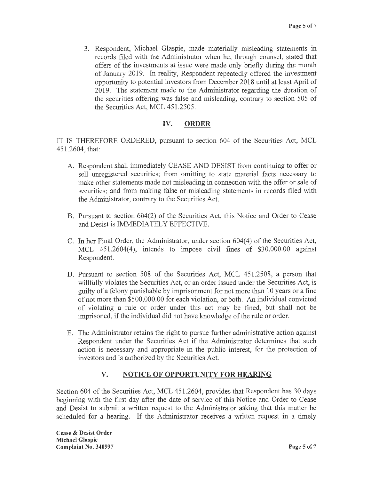3. Respondent, Michael Glaspie, made materially misleading statements in records filed with the Administrator when he, through counsel, stated that offers of the investments at issue were made only briefly during the month of January 2019. In reality, Respondent repeatedly offered the investment opportunity to potential investors from December 2018 until at least April of 2019. The statement made to the Administrator regarding the duration of the securities offering was false and misleading, contrary to section 505 of the Securities Act, MCL 451.2505.

# **IV. ORDER**

IT IS THEREFORE ORDERED, pursuant to section 604 of the Securities Act, MCL 451.2604, that:

- A. Respondent shall immediately CEASE AND DESIST from continuing to offer or sell unregistered securities; from omitting to state material facts necessary to make other statements made not misleading in connection with the offer or sale of securities; and from making false or misleading statements in records filed with the Administrator, contrary to the Securities Act.
- B. Pursuant to section 604(2) of the Securities Act, this Notice and Order to Cease and Desist is IMMEDIATELY EFFECTIVE.
- C. In her Final Order, the Administrator, under section 604(4) of the Securities Act, MCL  $451.2604(4)$ , intends to impose civil fines of \$30,000.00 against Respondent.
- D. Pursuant to section 508 of the Securities Act, MCL 451.2508, a person that willfully violates the Securities Act, or an order issued under the Securities Act, is guilty of a felony punishable by imprisonment for not more than 10 years or a fine of not more than \$500,000.00 for each violation, or both. An individual convicted of violating a rule or order under this act may be fined, but shall not be imprisoned, if the individual did not have knowledge of the rule or order.
- E. The Administrator retains the right to pursue further administrative action against Respondent under the Securities Act if the Administrator determines that such action is necessary and appropriate in the public interest, for the protection of investors and is authorized by the Securities Act.

# **V. NOTICE OF OPPORTUNITY FOR HEARING**

Section 604 of the Securities Act, MCL 451.2604, provides that Respondent has 30 days beginning with the first day after the date of service of this Notice and Order to Cease and Desist to submit a written request to the Administrator asking that this matter be scheduled for a hearing. If the Administrator receives a written request in a timely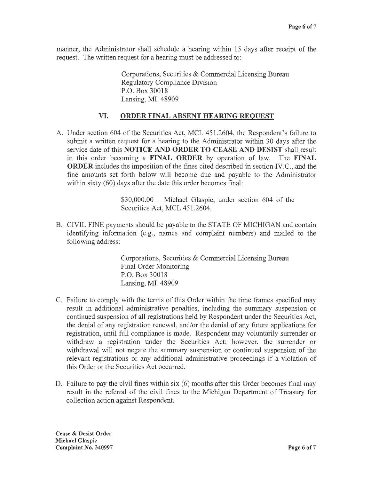manner, the Administrator shall schedule a hearing within 15 days after receipt of the request. The written request for a hearing must be addressed to:

> Corporations, Securities & Commercial Licensing Bureau Regulatory Compliance Division P.O. Box 30018 Lansing, MI 48909

#### **VI. ORDER FINAL ABSENT HEARING REQUEST**

A. Under section 604 of the Securities Act, MCL 451.2604, the Respondent's failure to submit a written request for a hearing to the Administrator within 30 days after the service date of this **NOTICE AND ORDER TO CEASE AND DESIST** shall result in this order becoming a **FINAL ORDER** by operation of law. The **FINAL ORDER** includes the imposition of the fines cited described in section IV.C., and the fine amounts set forth below will become due and payable to the Administrator within sixty (60) days after the date this order becomes final:

> $$30,000.00 - Michael Glaspie, under section 604 of the$ Securities Act, MCL 451.2604.

B. CIVIL FINE payments should be payable to the STATE OF MICHIGAN and contain identifying information (e.g., names and complaint numbers) and mailed to the following address:

> Corporations, Securities & Commercial Licensing Bureau Final Order Monitoring P.O. Box 30018 Lansing, MI 48909

- C. Failure to comply with the terms of this Order within the time frames specified may result in additional administrative penalties, including the summary suspension or continued suspension of all registrations held by Respondent under the Securities Act, the denial of any registration renewal, and/or the denial of any future applications for registration, until full compliance is made. Respondent may voluntarily surrender or withdraw a registration under the Securities Act; however, the surrender or withdrawal will not negate the summary suspension or continued suspension of the relevant registrations or any additional administrative proceedings if a violation of this Order or the Securities Act occurred.
- D. Failure to pay the civil fines within six (6) months after this Order becomes final may result in the referral of the civil fines to the Michigan Department of Treasury for collection action against Respondent.